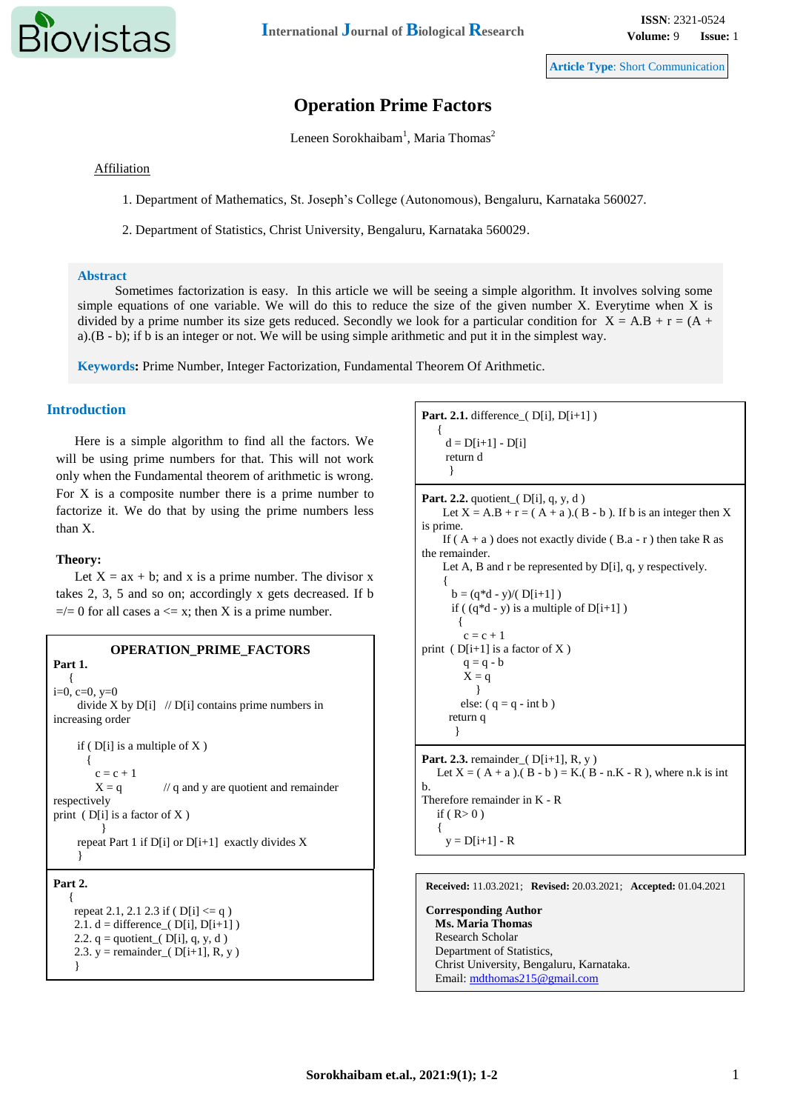

**Article Type**: Short Communication

# **Operation Prime Factors**

Leneen Sorokhaibam<sup>1</sup>, Maria Thomas<sup>2</sup>

Affiliation

1. Department of Mathematics, St. Joseph's College (Autonomous), Bengaluru, Karnataka 560027.

2. Department of Statistics, Christ University, Bengaluru, Karnataka 560029.

#### **Abstract**

Sometimes factorization is easy. In this article we will be seeing a simple algorithm. It involves solving some simple equations of one variable. We will do this to reduce the size of the given number X. Everytime when X is divided by a prime number its size gets reduced. Secondly we look for a particular condition for  $X = A.B + r = (A + r)$ a).(B - b); if b is an integer or not. We will be using simple arithmetic and put it in the simplest way.

**Keywords:** Prime Number, Integer Factorization, Fundamental Theorem Of Arithmetic.

### **Introduction**

Here is a simple algorithm to find all the factors. We will be using prime numbers for that. This will not work only when the Fundamental theorem of arithmetic is wrong. For X is a composite number there is a prime number to factorize it. We do that by using the prime numbers less than X.

#### **Theory:**

}

Let  $X = ax + b$ ; and x is a prime number. The divisor x takes 2, 3, 5 and so on; accordingly x gets decreased. If b  $=$ /= 0 for all cases a  $\leq$  x; then X is a prime number.

## **OPERATION\_PRIME\_FACTORS**

```
Part 1.
\{i=0, c=0, v=0divide X by D[i] // D[i] contains prime numbers in
increasing order
     if (D[i] is a multiple of X)
\left\{\begin{array}{c} \end{array}\right\}c = c + 1X = q // q and y are quotient and remainder
respectively
print (D[i] is a factor of X )
 }
      repeat Part 1 if D[i] or D[i+1] exactly divides X
      }
Part 2.
    {
    repeat 2.1, 2.1 2.3 if ( D[i] \leq q )
    2.1. d = difference_{1} D[i], D[i+1]2.2. q = quotient (D[i], q, y, d)
    2.3. y = remainder_{Q}[D[i+1], R, y)
```

```
Part. 2.1. difference ( D[i], D[i+1] )
\overline{\phantom{a}}d = D[i+1] - D[i] return d
       }
Part. 2.2. quotient ( D[i], q, y, d )
    Let X = A.B + r = (A + a) \cdot (B - b). If b is an integer then X
is prime.
    If (A + a) does not exactly divide (B.a - r) then take R as
the remainder.
    Let A, B and r be represented by D[i], q, y respectively.
\left\{\right.b = (q^*d - y)/(D[i+1])if ((q*d - y) is a multiple of D[i+1])
\{c = c + 1print (D[i+1] is a factor of X)
         q = q - bX = q } 
        else: (q = q - int b) return q
        }
Part. 2.3. remainder (D[i+1], R, y )
   Let X = (A + a). (B - b) = K. (B - n.K - R), where n.k is int
b. 
Therefore remainder in K - R
   if (R>0)
\{y = D[i+1] - R
```
**Received:** 11.03.2021; **Revised:** 20.03.2021; **Accepted:** 01.04.2021

**Corresponding Author Ms. Maria Thomas** Research Scholar Department of Statistics, Christ University, Bengaluru, Karnataka. Email: [mdthomas215@gmail.com](mailto:mdthomas215@gmail.com)